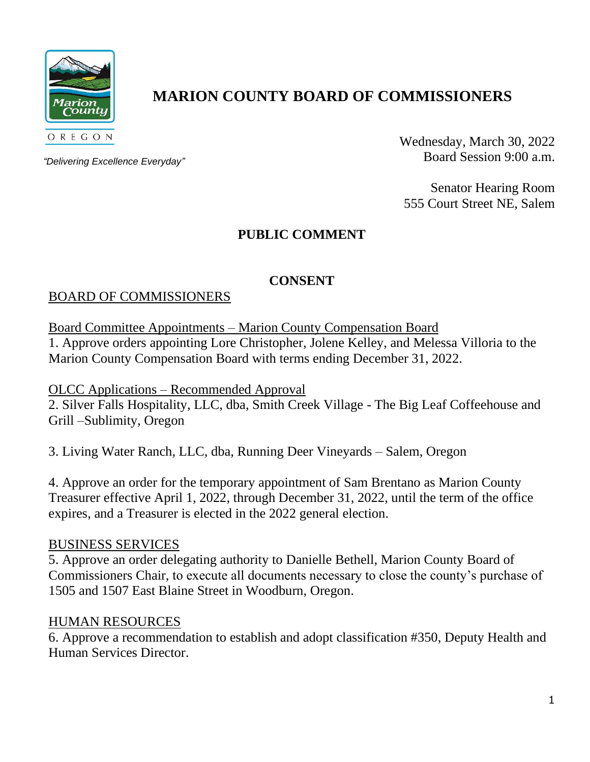

# **MARION COUNTY BOARD OF COMMISSIONERS**

*"Delivering Excellence Everyday"*

Wednesday, March 30, 2022 Board Session 9:00 a.m.

Senator Hearing Room 555 Court Street NE, Salem

# **PUBLIC COMMENT**

## **CONSENT**

## BOARD OF COMMISSIONERS

Board Committee Appointments – Marion County Compensation Board

1. Approve orders appointing Lore Christopher, Jolene Kelley, and Melessa Villoria to the Marion County Compensation Board with terms ending December 31, 2022.

OLCC Applications – Recommended Approval

2. Silver Falls Hospitality, LLC, dba, Smith Creek Village - The Big Leaf Coffeehouse and Grill –Sublimity, Oregon

3. Living Water Ranch, LLC, dba, Running Deer Vineyards – Salem, Oregon

4. Approve an order for the temporary appointment of Sam Brentano as Marion County Treasurer effective April 1, 2022, through December 31, 2022, until the term of the office expires, and a Treasurer is elected in the 2022 general election.

#### BUSINESS SERVICES

5. Approve an order delegating authority to Danielle Bethell, Marion County Board of Commissioners Chair, to execute all documents necessary to close the county's purchase of 1505 and 1507 East Blaine Street in Woodburn, Oregon.

#### HUMAN RESOURCES

6. Approve a recommendation to establish and adopt classification #350, Deputy Health and Human Services Director.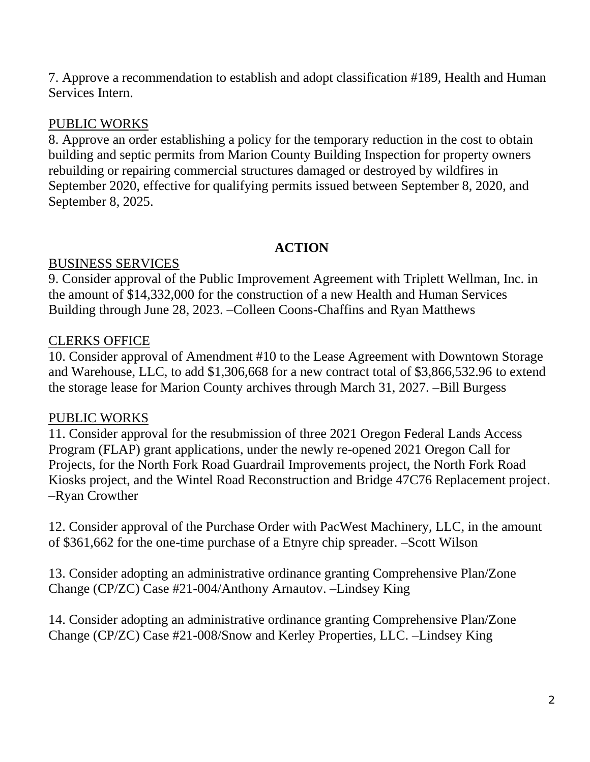7. Approve a recommendation to establish and adopt classification #189, Health and Human Services Intern.

### PUBLIC WORKS

8. Approve an order establishing a policy for the temporary reduction in the cost to obtain building and septic permits from Marion County Building Inspection for property owners rebuilding or repairing commercial structures damaged or destroyed by wildfires in September 2020, effective for qualifying permits issued between September 8, 2020, and September 8, 2025.

## **ACTION**

## BUSINESS SERVICES

9. Consider approval of the Public Improvement Agreement with Triplett Wellman, Inc. in the amount of \$14,332,000 for the construction of a new Health and Human Services Building through June 28, 2023. –Colleen Coons-Chaffins and Ryan Matthews

# CLERKS OFFICE

10. Consider approval of Amendment #10 to the Lease Agreement with Downtown Storage and Warehouse, LLC, to add \$1,306,668 for a new contract total of \$3,866,532.96 to extend the storage lease for Marion County archives through March 31, 2027. –Bill Burgess

# PUBLIC WORKS

11. Consider approval for the resubmission of three 2021 Oregon Federal Lands Access Program (FLAP) grant applications, under the newly re-opened 2021 Oregon Call for Projects, for the North Fork Road Guardrail Improvements project, the North Fork Road Kiosks project, and the Wintel Road Reconstruction and Bridge 47C76 Replacement project. –Ryan Crowther

12. Consider approval of the Purchase Order with PacWest Machinery, LLC, in the amount of \$361,662 for the one-time purchase of a Etnyre chip spreader. –Scott Wilson

13. Consider adopting an administrative ordinance granting Comprehensive Plan/Zone Change (CP/ZC) Case #21-004/Anthony Arnautov. –Lindsey King

14. Consider adopting an administrative ordinance granting Comprehensive Plan/Zone Change (CP/ZC) Case #21-008/Snow and Kerley Properties, LLC. –Lindsey King